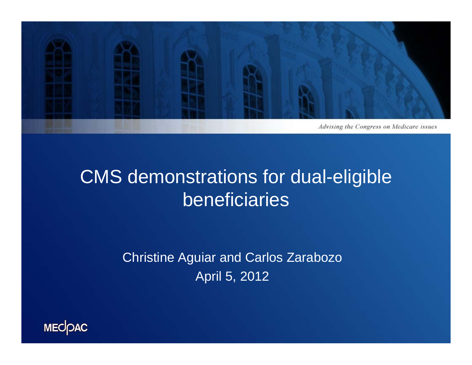

### CMS demonstrations for dual-eligible beneficiaries

Christine Aguiar and Carlos Zarabozo April 5, 2012

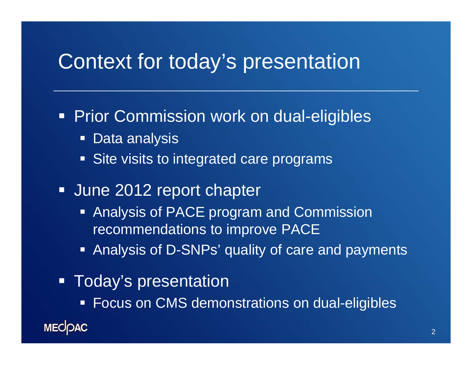### Context for today's presentation

**Prior Commission work on dual-eligibles** 

- $\blacksquare$ Data analysis
- **Site visits to integrated care programs**
- **June 2012 report chapter** 
	- **Analysis of PACE program and Commission** recommendations to improve PACE
	- **Analysis of D-SNPs' quality of care and payments**
- **-** Today's presentation
	- **Focus on CMS demonstrations on dual-eligibles**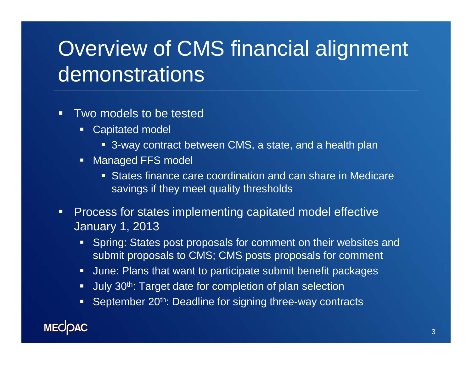# Overview of CMS financial alignment demonstrations

- $\blacksquare$ **Two models to be tested** 
	- Capitated model
		- 3-way contract between CMS, a state, and a health plan
	- **Managed FFS model** 
		- States finance care coordination and can share in Medicare savings if they meet quality thresholds
- $\blacksquare$  Process for states implementing capitated model effective January 1, 2013
	- **Spring: States post proposals for comment on their websites and** submit proposals to CMS; CMS posts proposals for comment
	- June: Plans that want to participate submit benefit packages
	- Uuly 30<sup>th</sup>: Target date for completion of plan selection
	- September 20<sup>th</sup>: Deadline for signing three-way contracts

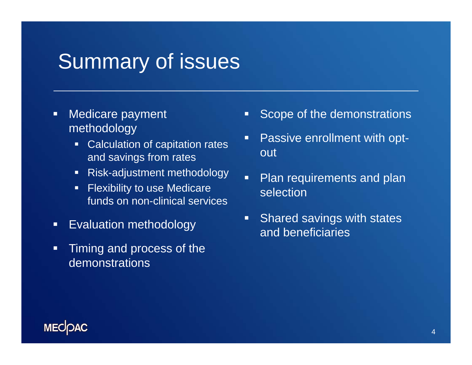### Summary of issues

- $\Box$  Medicare payment methodology
	- **Calculation of capitation rates** and savings from rates
	- $\blacksquare$ Risk-adjustment methodology
	- $\blacksquare$  Flexibility to use Medicare funds on non-clinical services
- $\blacksquare$ Evaluation methodology
- $\blacksquare$  Timing and process of the demonstrations
- Scope of the demonstrations
- Г Passive enrollment with optout
- Г Plan requirements and plan selection
- $\blacksquare$  Shared savings with states and beneficiaries

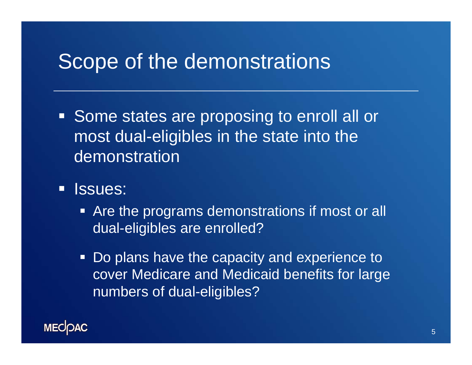### Scope of the demonstrations

- **Some states are proposing to enroll all or** most dual-eligibles in the state into the demonstration
- $\blacksquare$  Issues:
	- **Are the programs demonstrations if most or all** dual-eligibles are enrolled?
	- $\blacksquare$  Do plans have the capacity and experience to cover Medicare and Medicaid benefits for large numbers of dual-eligibles?

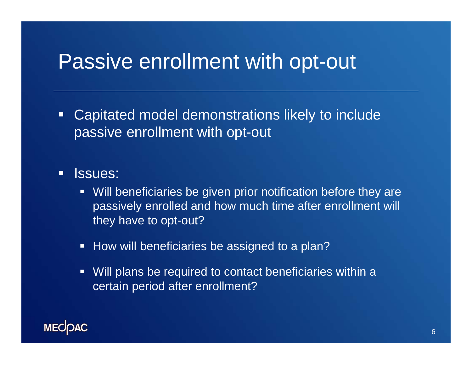### Passive enrollment with opt-out

 $\Box$  Capitated model demonstrations likely to include passive enrollment with opt-out

#### $\Box$ Issues:

- Will beneficiaries be given prior notification before they are passively enrolled and how much time after enrollment will they have to opt-out?
- **How will beneficiaries be assigned to a plan?**
- $\blacksquare$  . Will plans be required to contact beneficiaries within a certain period after enrollment?

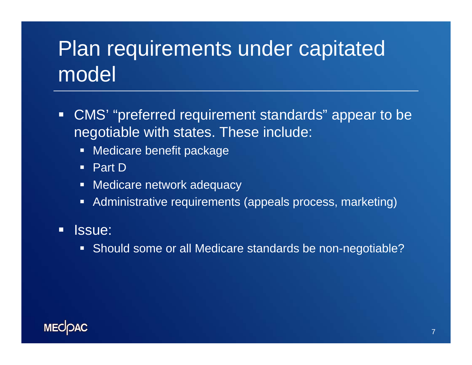# Plan requirements under capitated model

- CMS' "preferred requirement standards" appear to be negotiable with states. These include:
	- **Medicare benefit package**
	- Part D
	- Medicare network adequacy
	- Administrative requirements (appeals process, marketing)

#### $\Box$ Issue:

Should some or all Medicare standards be non-negotiable?

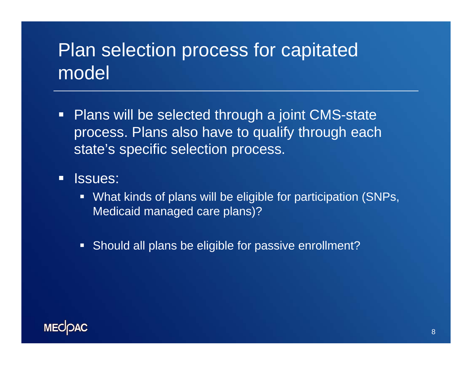### Plan selection process for capitated model

- **Plans will be selected through a joint CMS-state** process. Plans also have to qualify through each state's specific selection process.
- $\Box$  Issues:
	- What kinds of plans will be eligible for participation (SNPs, Medicaid managed care plans)?
	- Should all plans be eligible for passive enrollment?

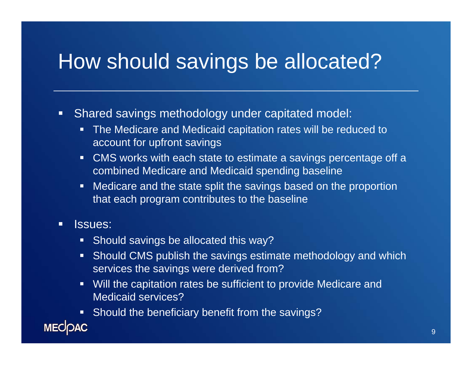## How should savings be allocated?

- $\Box$  Shared savings methodology under capitated model:
	- The Medicare and Medicaid capitation rates will be reduced to account for upfront savings
	- $\blacksquare$  CMS works with each state to estimate a savings percentage off a combined Medicare and Medicaid spending baseline
	- $\blacksquare$  Medicare and the state split the savings based on the proportion that each program contributes to the baseline
- п Issues:
	- **Should savings be allocated this way?**
	- **Should CMS publish the savings estimate methodology and which** services the savings were derived from?
	- $\blacksquare$  Will the capitation rates be sufficient to provide Medicare and Medicaid services?
	- **Should the beneficiary benefit from the savings?**